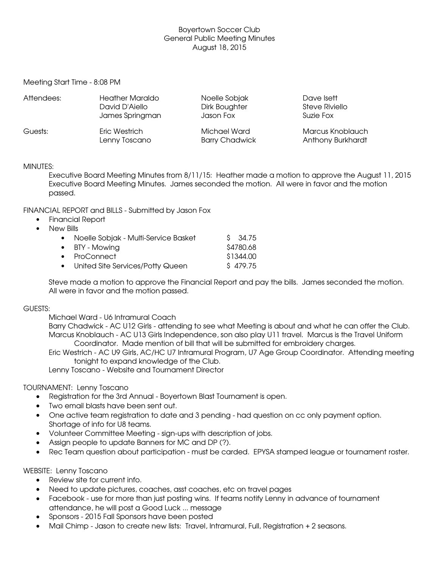### Boyertown Soccer Club General Public Meeting Minutes August 18, 2015

Meeting Start Time - 8:08 PM

| Attendees: | <b>Heather Maraldo</b> | Noelle Sobjak         | Dave Isett        |
|------------|------------------------|-----------------------|-------------------|
|            | David D'Aiello         | Dirk Boughter         | Steve Riviello    |
|            | James Springman        | Jason Fox             | Suzie Fox         |
| Guests:    | Eric Westrich          | Michael Ward          | Marcus Knoblauch  |
|            | Lenny Toscano          | <b>Barry Chadwick</b> | Anthony Burkhardt |

#### MINUTES:

Executive Board Meeting Minutes from 8/11/15: Heather made a motion to approve the August 11, 2015 Executive Board Meeting Minutes. James seconded the motion. All were in favor and the motion passed.

#### FINANCIAL REPORT and BILLS - Submitted by Jason Fox

- Financial Report
- New Bills

| • Noelle Sobjak - Multi-Service Basket | \$ 34.75  |
|----------------------------------------|-----------|
| • BTY - Mowing                         | \$4780.68 |
| $\bullet$ ProConnect                   | \$1344.00 |
| • United Site Services/Potty Queen     | \$479.75  |

Steve made a motion to approve the Financial Report and pay the bills. James seconded the motion. All were in favor and the motion passed.

#### GUESTS:

Michael Ward - U6 Intramural Coach

Barry Chadwick - AC U12 Girls - attending to see what Meeting is about and what he can offer the Club. Marcus Knoblauch - AC U13 Girls Independence, son also play U11 travel. Marcus is the Travel Uniform Coordinator. Made mention of bill that will be submitted for embroidery charges.

Eric Westrich AC U9 Girls, AC/HC U7 Intramural Program, U7 Age Group Coordinator. Attending meeting tonight to expand knowledge of the Club.

Lenny Toscano - Website and Tournament Director

# TOURNAMENT: Lenny Toscano

- Registration for the 3rd Annual Boyertown Blast Tournament is open.
- Two email blasts have been sent out.
- One active team registration to date and 3 pending had question on cc only payment option. Shortage of info for U8 teams.
- Volunteer Committee Meeting sign-ups with description of jobs.
- Assign people to update Banners for MC and DP (?).
- Rec Team question about participation must be carded. EPYSA stamped league or tournament roster.

#### WEBSITE: Lenny Toscano

- Review site for current info.
- Need to update pictures, coaches, asst coaches, etc on travel pages
- Facebook use for more than just posting wins. If teams notify Lenny in advance of tournament attendance, he will post a Good Luck ... message
- Sponsors 2015 Fall Sponsors have been posted
- Mail Chimp Jason to create new lists: Travel, Intramural, Full, Registration + 2 seasons.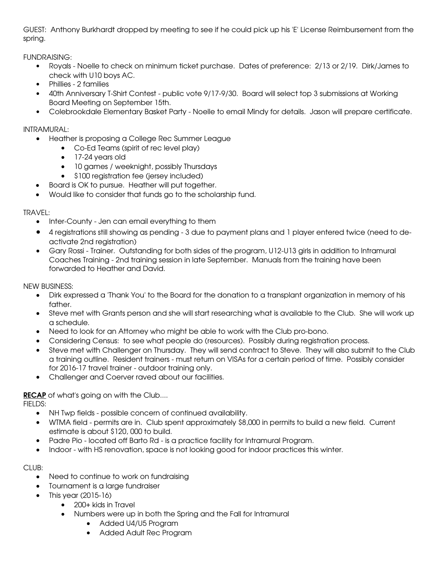GUEST: Anthony Burkhardt dropped by meeting to see if he could pick up his 'E' License Reimbursement from the spring.

FUNDRAISING:

- Royals Noelle to check on minimum ticket purchase. Dates of preference: 2/13 or 2/19. Dirk/James to check with U10 boys AC.
- Phillies 2 families
- 40th Anniversary T-Shirt Contest public vote 9/17-9/30. Board will select top 3 submissions at Working Board Meeting on September 15th.
- Colebrookdale Elementary Basket Party Noelle to email Mindy for details. Jason will prepare certificate.

# INTRAMURAL:

- Heather is proposing a College Rec Summer League
	- Co-Ed Teams (spirit of rec level play)
	- 17-24 years old
	- 10 games / weeknight, possibly Thursdays
	- \$100 registration fee (jersey included)
	- Board is OK to pursue. Heather will put together.
- Would like to consider that funds go to the scholarship fund.

# TRAVEL:

- Inter-County Jen can email everything to them
- 4 registrations still showing as pending 3 due to payment plans and 1 player entered twice (need to deactivate 2nd registration)
- Gary Rossi Trainer. Outstanding for both sides of the program, U12-U13 girls in addition to Intramural Coaches Training 2nd training session in late September. Manuals from the training have been forwarded to Heather and David.

NEW BUSINESS:

- Dirk expressed a 'Thank You' to the Board for the donation to a transplant organization in memory of his father.
- Steve met with Grants person and she will start researching what is available to the Club. She will work up a schedule.
- Need to look for an Attorney who might be able to work with the Club pro-bono.
- Considering Census: to see what people do (resources). Possibly during registration process.
- Steve met with Challenger on Thursday. They will send contract to Steve. They will also submit to the Club a training outline. Resident trainers must return on VISAs for a certain period of time. Possibly consider for 2016-17 travel trainer - outdoor training only.
- Challenger and Coerver raved about our facilities.

**RECAP** of what's going on with the Club....

FIELDS:

- NH Twp fields possible concern of continued availability.
- WTMA field permits are in. Club spent approximately \$8,000 in permits to build a new field. Current estimate is about \$120, 000 to build.
- Padre Pio located off Barto Rd is a practice facility for Intramural Program.
- Indoor with HS renovation, space is not looking good for indoor practices this winter.

 $CIUB:$ 

- Need to continue to work on fundraising
- Tournament is a large fundraiser
- $\bullet$  This year (2015-16)
	- 200+ kids in Travel
	- Numbers were up in both the Spring and the Fall for Intramural
		- Added U4/U5 Program
		- Added Adult Rec Program